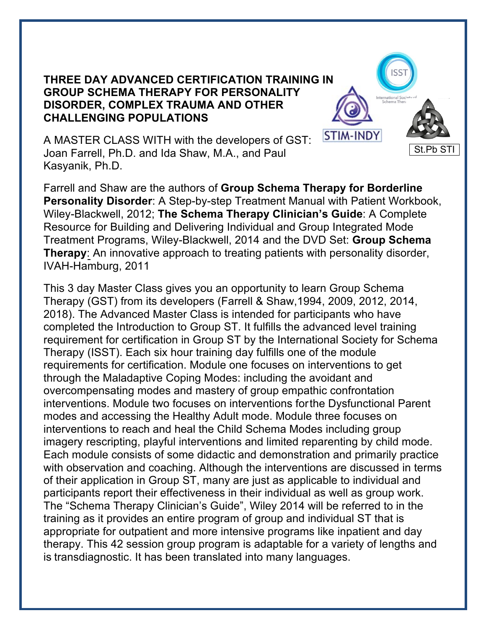## **THREE DAY ADVANCED CERTIFICATION TRAINING IN GROUP SCHEMA THERAPY FOR PERSONALITY DISORDER, COMPLEX TRAUMA AND OTHER CHALLENGING POPULATIONS**



A MASTER CLASS WITH with the developers of GST: Joan Farrell, Ph.D. and Ida Shaw, M.A., and Paul Kasyanik, Ph.D.

Farrell and Shaw are the authors of **Group Schema Therapy for Borderline Personality Disorder**: A Step-by-step Treatment Manual with Patient Workbook, Wiley-Blackwell, 2012; **The Schema Therapy Clinician's Guide**: A Complete Resource for Building and Delivering Individual and Group Integrated Mode Treatment Programs, Wiley-Blackwell, 2014 and the DVD Set: **Group Schema Therapy:** An innovative approach to treating patients with personality disorder, IVAH-Hamburg, 2011

This 3 day Master Class gives you an opportunity to learn Group Schema Therapy (GST) from its developers (Farrell & Shaw,1994, 2009, 2012, 2014, 2018). The Advanced Master Class is intended for participants who have completed the Introduction to Group ST. It fulfills the advanced level training requirement for certification in Group ST by the International Society for Schema Therapy (ISST). Each six hour training day fulfills one of the module requirements for certification. Module one focuses on interventions to get through the Maladaptive Coping Modes: including the avoidant and overcompensating modes and mastery of group empathic confrontation interventions. Module two focuses on interventions forthe Dysfunctional Parent modes and accessing the Healthy Adult mode. Module three focuses on interventions to reach and heal the Child Schema Modes including group imagery rescripting, playful interventions and limited reparenting by child mode. Each module consists of some didactic and demonstration and primarily practice with observation and coaching. Although the interventions are discussed in terms of their application in Group ST, many are just as applicable to individual and participants report their effectiveness in their individual as well as group work. The "Schema Therapy Clinician's Guide", Wiley 2014 will be referred to in the training as it provides an entire program of group and individual ST that is appropriate for outpatient and more intensive programs like inpatient and day therapy. This 42 session group program is adaptable for a variety of lengths and is transdiagnostic. It has been translated into many languages.